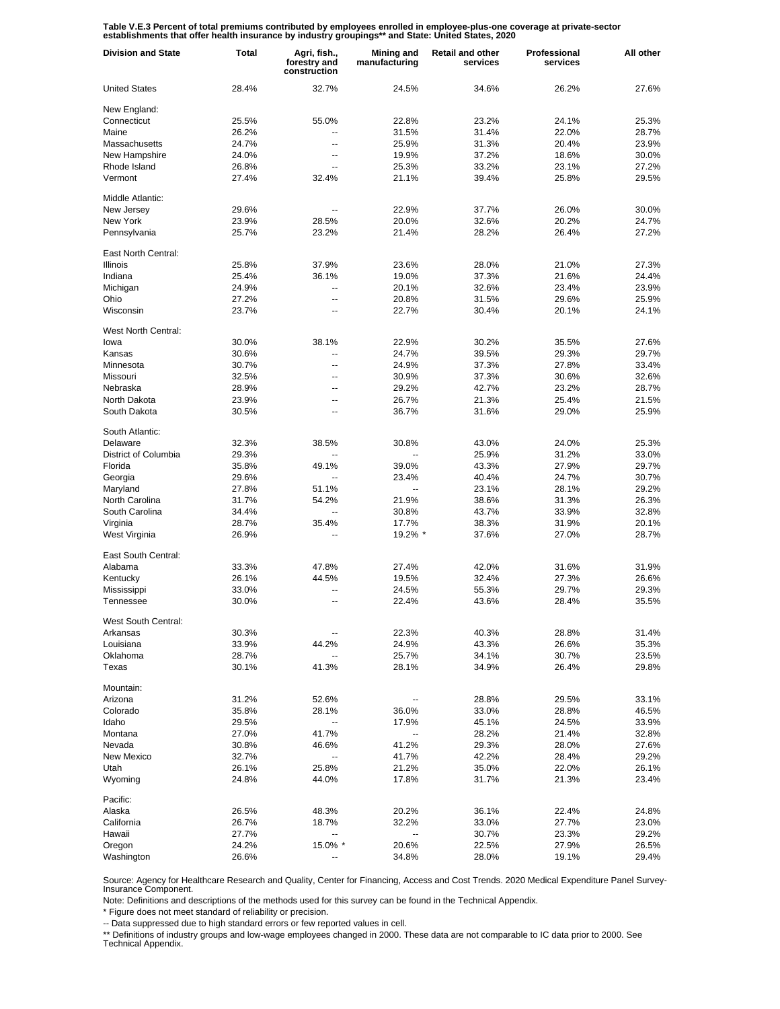Table V.E.3 Percent of total premiums contributed by employees enrolled in employee-plus-one coverage at private-sector<br>establishments that offer health insurance by industry groupings\*\* and State: United States, 2020

| <b>Division and State</b> | Total | Agri, fish.,<br>forestry and<br>construction | Mining and<br>manufacturing | <b>Retail and other</b><br>services | Professional<br>services | All other |
|---------------------------|-------|----------------------------------------------|-----------------------------|-------------------------------------|--------------------------|-----------|
| <b>United States</b>      | 28.4% | 32.7%                                        | 24.5%                       | 34.6%                               | 26.2%                    | 27.6%     |
| New England:              |       |                                              |                             |                                     |                          |           |
| Connecticut               | 25.5% | 55.0%                                        | 22.8%                       | 23.2%                               | 24.1%                    | 25.3%     |
| Maine                     | 26.2% | --                                           | 31.5%                       | 31.4%                               | 22.0%                    | 28.7%     |
| Massachusetts             | 24.7% | $\overline{a}$                               | 25.9%                       | 31.3%                               | 20.4%                    | 23.9%     |
| New Hampshire             | 24.0% | --                                           | 19.9%                       | 37.2%                               | 18.6%                    | 30.0%     |
| Rhode Island              | 26.8% | $\overline{a}$                               | 25.3%                       | 33.2%                               | 23.1%                    | 27.2%     |
| Vermont                   | 27.4% | 32.4%                                        | 21.1%                       | 39.4%                               | 25.8%                    | 29.5%     |
| Middle Atlantic:          |       |                                              |                             |                                     |                          |           |
| New Jersey                | 29.6% | $\overline{\phantom{a}}$                     | 22.9%                       | 37.7%                               | 26.0%                    | 30.0%     |
| New York                  | 23.9% | 28.5%                                        | 20.0%                       | 32.6%                               | 20.2%                    | 24.7%     |
| Pennsylvania              | 25.7% | 23.2%                                        | 21.4%                       | 28.2%                               | 26.4%                    | 27.2%     |
| East North Central:       |       |                                              |                             |                                     |                          |           |
| <b>Illinois</b>           | 25.8% | 37.9%                                        | 23.6%                       | 28.0%                               | 21.0%                    | 27.3%     |
| Indiana                   | 25.4% | 36.1%                                        | 19.0%                       | 37.3%                               | 21.6%                    | 24.4%     |
| Michigan                  | 24.9% | --                                           | 20.1%                       | 32.6%                               | 23.4%                    | 23.9%     |
| Ohio                      | 27.2% | $\overline{\phantom{a}}$                     | 20.8%                       | 31.5%                               | 29.6%                    | 25.9%     |
| Wisconsin                 | 23.7% | --                                           | 22.7%                       | 30.4%                               | 20.1%                    | 24.1%     |
| West North Central:       |       |                                              |                             |                                     |                          |           |
| lowa                      | 30.0% | 38.1%                                        | 22.9%                       | 30.2%                               | 35.5%                    | 27.6%     |
| Kansas                    | 30.6% | --                                           | 24.7%                       | 39.5%                               | 29.3%                    | 29.7%     |
| Minnesota                 | 30.7% | $\overline{a}$                               | 24.9%                       | 37.3%                               | 27.8%                    | 33.4%     |
| Missouri                  | 32.5% | --                                           | 30.9%                       | 37.3%                               | 30.6%                    | 32.6%     |
| Nebraska                  | 28.9% | $\overline{a}$                               | 29.2%                       | 42.7%                               | 23.2%                    | 28.7%     |
| North Dakota              | 23.9% | --                                           | 26.7%                       | 21.3%                               | 25.4%                    | 21.5%     |
| South Dakota              | 30.5% | $\overline{a}$                               | 36.7%                       | 31.6%                               | 29.0%                    | 25.9%     |
| South Atlantic:           |       |                                              |                             |                                     |                          |           |
| Delaware                  | 32.3% | 38.5%                                        | 30.8%                       | 43.0%                               | 24.0%                    | 25.3%     |
| District of Columbia      | 29.3% | Ξ.                                           | Ξ.                          | 25.9%                               | 31.2%                    | 33.0%     |
| Florida                   | 35.8% | 49.1%                                        | 39.0%                       | 43.3%                               | 27.9%                    | 29.7%     |
| Georgia                   | 29.6% | Ξ.                                           | 23.4%                       | 40.4%                               | 24.7%                    | 30.7%     |
| Maryland                  | 27.8% | 51.1%                                        | $\ddotsc$                   | 23.1%                               | 28.1%                    | 29.2%     |
| North Carolina            | 31.7% | 54.2%                                        | 21.9%                       | 38.6%                               | 31.3%                    | 26.3%     |
| South Carolina            | 34.4% | Ξ.                                           | 30.8%                       | 43.7%                               | 33.9%                    | 32.8%     |
| Virginia                  | 28.7% | 35.4%                                        | 17.7%                       | 38.3%                               | 31.9%                    | 20.1%     |
| West Virginia             | 26.9% | Ξ.                                           | 19.2% *                     | 37.6%                               | 27.0%                    | 28.7%     |
| East South Central:       |       |                                              |                             |                                     |                          |           |
| Alabama                   | 33.3% | 47.8%                                        | 27.4%                       | 42.0%                               | 31.6%                    | 31.9%     |
| Kentucky                  | 26.1% | 44.5%                                        | 19.5%                       | 32.4%                               | 27.3%                    | 26.6%     |
| Mississippi               | 33.0% | ц,                                           | 24.5%                       | 55.3%                               | 29.7%                    | 29.3%     |
| Tennessee                 | 30.0% |                                              | 22.4%                       | 43.6%                               | 28.4%                    | 35.5%     |
| West South Central:       |       |                                              |                             |                                     |                          |           |
| Arkansas                  | 30.3% |                                              | 22.3%                       | 40.3%                               | 28.8%                    | 31.4%     |
| Louisiana                 | 33.9% | 44.2%                                        | 24.9%                       | 43.3%                               | 26.6%                    | 35.3%     |
| Oklahoma                  | 28.7% | --                                           | 25.7%                       | 34.1%                               | 30.7%                    | 23.5%     |
| Texas                     | 30.1% | 41.3%                                        | 28.1%                       | 34.9%                               | 26.4%                    | 29.8%     |
| Mountain:                 |       |                                              |                             |                                     |                          |           |
| Arizona                   | 31.2% | 52.6%                                        |                             | 28.8%                               | 29.5%                    | 33.1%     |
| Colorado                  | 35.8% | 28.1%                                        | 36.0%                       | 33.0%                               | 28.8%                    | 46.5%     |
| Idaho                     | 29.5% | --                                           | 17.9%                       | 45.1%                               | 24.5%                    | 33.9%     |
| Montana                   | 27.0% | 41.7%                                        | $\overline{\phantom{a}}$    | 28.2%                               | 21.4%                    | 32.8%     |
| Nevada                    | 30.8% | 46.6%                                        | 41.2%                       | 29.3%                               | 28.0%                    | 27.6%     |
| New Mexico                | 32.7% | --                                           | 41.7%                       | 42.2%                               | 28.4%                    | 29.2%     |
| Utah                      | 26.1% | 25.8%                                        | 21.2%                       | 35.0%                               | 22.0%                    | 26.1%     |
| Wyoming                   | 24.8% | 44.0%                                        | 17.8%                       | 31.7%                               | 21.3%                    | 23.4%     |
| Pacific:                  |       |                                              |                             |                                     |                          |           |
| Alaska                    | 26.5% | 48.3%                                        | 20.2%                       | 36.1%                               | 22.4%                    | 24.8%     |
| California                | 26.7% | 18.7%                                        | 32.2%                       | 33.0%                               | 27.7%                    | 23.0%     |
| Hawaii                    | 27.7% |                                              | --                          | 30.7%                               | 23.3%                    | 29.2%     |
| Oregon                    | 24.2% | 15.0% *                                      | 20.6%                       | 22.5%                               | 27.9%                    | 26.5%     |
| Washington                | 26.6% |                                              | 34.8%                       | 28.0%                               | 19.1%                    | 29.4%     |

Source: Agency for Healthcare Research and Quality, Center for Financing, Access and Cost Trends. 2020 Medical Expenditure Panel Survey-Insurance Component.

Note: Definitions and descriptions of the methods used for this survey can be found in the Technical Appendix.<br>\* Figure does not meet standard of reliability or precision.

\* Figure does not meet standard of reliability or precision.

-- Data suppressed due to high standard errors or few reported values in cell.

\*\* Definitions of industry groups and low-wage employees changed in 2000. These data are not comparable to IC data prior to 2000. See Technical Appendix.